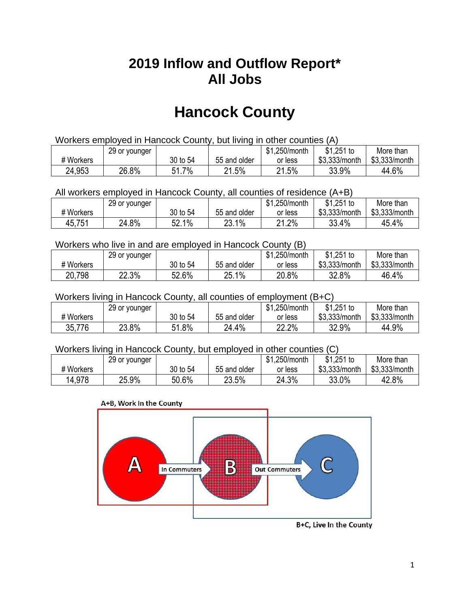## **2019 Inflow and Outflow Report\* All Jobs**

# **Hancock County**

| Workers employed in Hancock County, but living in other counties (A) |                                                            |          |              |         |               |               |  |  |  |
|----------------------------------------------------------------------|------------------------------------------------------------|----------|--------------|---------|---------------|---------------|--|--|--|
|                                                                      | $$1,251$ to<br>\$1.250/month<br>More than<br>29 or younger |          |              |         |               |               |  |  |  |
| # Workers                                                            |                                                            | 30 to 54 | 55 and older | or less | \$3.333/month | \$3,333/month |  |  |  |
| 24,953                                                               | 26.8%                                                      | 51.7%    | 21.5%        | 21.5%   | 33.9%         | 44.6%         |  |  |  |

All workers employed in Hancock County, all counties of residence (A+B)

|           | 29 or younger |          |              | \$1,250/month | $$1,251$ to   | More than     |
|-----------|---------------|----------|--------------|---------------|---------------|---------------|
| # Workers |               | 30 to 54 | 55 and older | or less       | \$3,333/month | \$3,333/month |
| 45,751    | 24.8%         | 52.1%    | 23.1%        | 21.2%         | 33.4%         | 45.4%         |

#### Workers who live in and are employed in Hancock County (B)

|           | 29 or younger |          |              | \$1,250/month | $$1,251$ to   | More than     |
|-----------|---------------|----------|--------------|---------------|---------------|---------------|
| # Workers |               | 30 to 54 | 55 and older | or less       | \$3,333/month | \$3,333/month |
| 20,798    | 22.3%         | 52.6%    | 25.1%        | 20.8%         | 32.8%         | 46.4%         |

#### Workers living in Hancock County, all counties of employment (B+C)

|           | 29 or younger |             |              | \$1,250/month | \$1,251 to    | More than     |
|-----------|---------------|-------------|--------------|---------------|---------------|---------------|
| # Workers |               | 30 to 54    | 55 and older | or less       | \$3,333/month | \$3,333/month |
| 35,776    | 23.8%         | 1.8%<br>C 1 | 24.4%        | 22.2%         | 32.9%         | 44.9%         |

#### Workers living in Hancock County, but employed in other counties (C)

|           | 29 or younger |          |              | \$1,250/month | $$1,251$ to   | More than     |
|-----------|---------------|----------|--------------|---------------|---------------|---------------|
| # Workers |               | 30 to 54 | 55 and older | or less       | \$3,333/month | \$3,333/month |
| 14,978    | 25.9%         | 50.6%    | 23.5%        | 24.3%         | 33.0%         | 42.8%         |

#### A+B, Work In the County



B+C, Live In the County